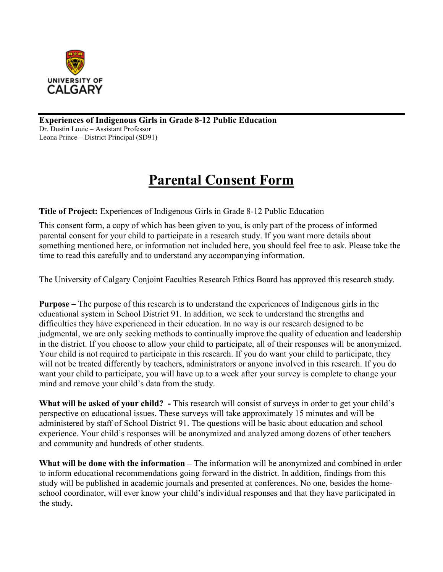

**Experiences of Indigenous Girls in Grade 8-12 Public Education**  Dr. Dustin Louie – Assistant Professor Leona Prince – District Principal (SD91)

# **Parental Consent Form**

**Title of Project:** Experiences of Indigenous Girls in Grade 8-12 Public Education

This consent form, a copy of which has been given to you, is only part of the process of informed parental consent for your child to participate in a research study. If you want more details about something mentioned here, or information not included here, you should feel free to ask. Please take the time to read this carefully and to understand any accompanying information.

The University of Calgary Conjoint Faculties Research Ethics Board has approved this research study.

**Purpose –** The purpose of this research is to understand the experiences of Indigenous girls in the educational system in School District 91. In addition, we seek to understand the strengths and difficulties they have experienced in their education. In no way is our research designed to be judgmental, we are only seeking methods to continually improve the quality of education and leadership in the district. If you choose to allow your child to participate, all of their responses will be anonymized. Your child is not required to participate in this research. If you do want your child to participate, they will not be treated differently by teachers, administrators or anyone involved in this research. If you do want your child to participate, you will have up to a week after your survey is complete to change your mind and remove your child's data from the study.

**What will be asked of your child? -** This research will consist of surveys in order to get your child's perspective on educational issues. These surveys will take approximately 15 minutes and will be administered by staff of School District 91. The questions will be basic about education and school experience. Your child's responses will be anonymized and analyzed among dozens of other teachers and community and hundreds of other students.

**What will be done with the information –** The information will be anonymized and combined in order to inform educational recommendations going forward in the district. In addition, findings from this study will be published in academic journals and presented at conferences. No one, besides the homeschool coordinator, will ever know your child's individual responses and that they have participated in the study**.**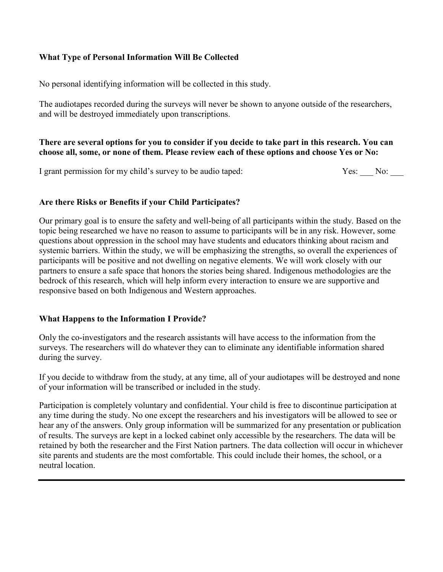## **What Type of Personal Information Will Be Collected**

No personal identifying information will be collected in this study.

The audiotapes recorded during the surveys will never be shown to anyone outside of the researchers, and will be destroyed immediately upon transcriptions.

#### **There are several options for you to consider if you decide to take part in this research. You can choose all, some, or none of them. Please review each of these options and choose Yes or No:**

I grant permission for my child's survey to be audio taped: Yes: No:

# **Are there Risks or Benefits if your Child Participates?**

Our primary goal is to ensure the safety and well-being of all participants within the study. Based on the topic being researched we have no reason to assume to participants will be in any risk. However, some questions about oppression in the school may have students and educators thinking about racism and systemic barriers. Within the study, we will be emphasizing the strengths, so overall the experiences of participants will be positive and not dwelling on negative elements. We will work closely with our partners to ensure a safe space that honors the stories being shared. Indigenous methodologies are the bedrock of this research, which will help inform every interaction to ensure we are supportive and responsive based on both Indigenous and Western approaches.

## **What Happens to the Information I Provide?**

Only the co-investigators and the research assistants will have access to the information from the surveys. The researchers will do whatever they can to eliminate any identifiable information shared during the survey.

If you decide to withdraw from the study, at any time, all of your audiotapes will be destroyed and none of your information will be transcribed or included in the study.

Participation is completely voluntary and confidential. Your child is free to discontinue participation at any time during the study. No one except the researchers and his investigators will be allowed to see or hear any of the answers. Only group information will be summarized for any presentation or publication of results. The surveys are kept in a locked cabinet only accessible by the researchers. The data will be retained by both the researcher and the First Nation partners. The data collection will occur in whichever site parents and students are the most comfortable. This could include their homes, the school, or a neutral location.